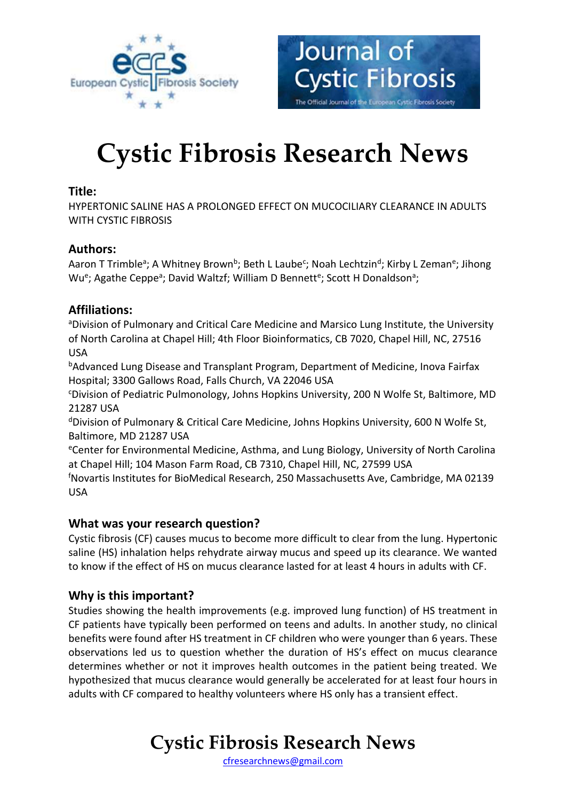



# **Cystic Fibrosis Research News**

# **Title:**

HYPERTONIC SALINE HAS A PROLONGED EFFECT ON MUCOCILIARY CLEARANCE IN ADULTS WITH CYSTIC FIBROSIS

# **Authors:**

Aaron T Trimble<sup>a</sup>; A Whitney Brown<sup>b</sup>; Beth L Laube<sup>c</sup>; Noah Lechtzin<sup>d</sup>; Kirby L Zeman<sup>e</sup>; Jihong Wu<sup>e</sup>; Agathe Ceppe<sup>a</sup>; David Waltzf; William D Bennett<sup>e</sup>; Scott H Donaldson<sup>a</sup>;

# **Affiliations:**

aDivision of Pulmonary and Critical Care Medicine and Marsico Lung Institute, the University of North Carolina at Chapel Hill; 4th Floor Bioinformatics, CB 7020, Chapel Hill, NC, 27516 USA

bAdvanced Lung Disease and Transplant Program, Department of Medicine, Inova Fairfax Hospital; 3300 Gallows Road, Falls Church, VA 22046 USA

<sup>c</sup>Division of Pediatric Pulmonology, Johns Hopkins University, 200 N Wolfe St, Baltimore, MD 21287 USA

<sup>d</sup>Division of Pulmonary & Critical Care Medicine, Johns Hopkins University, 600 N Wolfe St, Baltimore, MD 21287 USA

<sup>e</sup>Center for Environmental Medicine, Asthma, and Lung Biology, University of North Carolina at Chapel Hill; 104 Mason Farm Road, CB 7310, Chapel Hill, NC, 27599 USA

<sup>f</sup>Novartis Institutes for BioMedical Research, 250 Massachusetts Ave, Cambridge, MA 02139 USA

### **What was your research question?**

Cystic fibrosis (CF) causes mucus to become more difficult to clear from the lung. Hypertonic saline (HS) inhalation helps rehydrate airway mucus and speed up its clearance. We wanted to know if the effect of HS on mucus clearance lasted for at least 4 hours in adults with CF.

# **Why is this important?**

Studies showing the health improvements (e.g. improved lung function) of HS treatment in CF patients have typically been performed on teens and adults. In another study, no clinical benefits were found after HS treatment in CF children who were younger than 6 years. These observations led us to question whether the duration of HS's effect on mucus clearance determines whether or not it improves health outcomes in the patient being treated. We hypothesized that mucus clearance would generally be accelerated for at least four hours in adults with CF compared to healthy volunteers where HS only has a transient effect.

# **Cystic Fibrosis Research News**

[cfresearchnews@gmail.com](mailto:cfresearchnews@gmail.com)